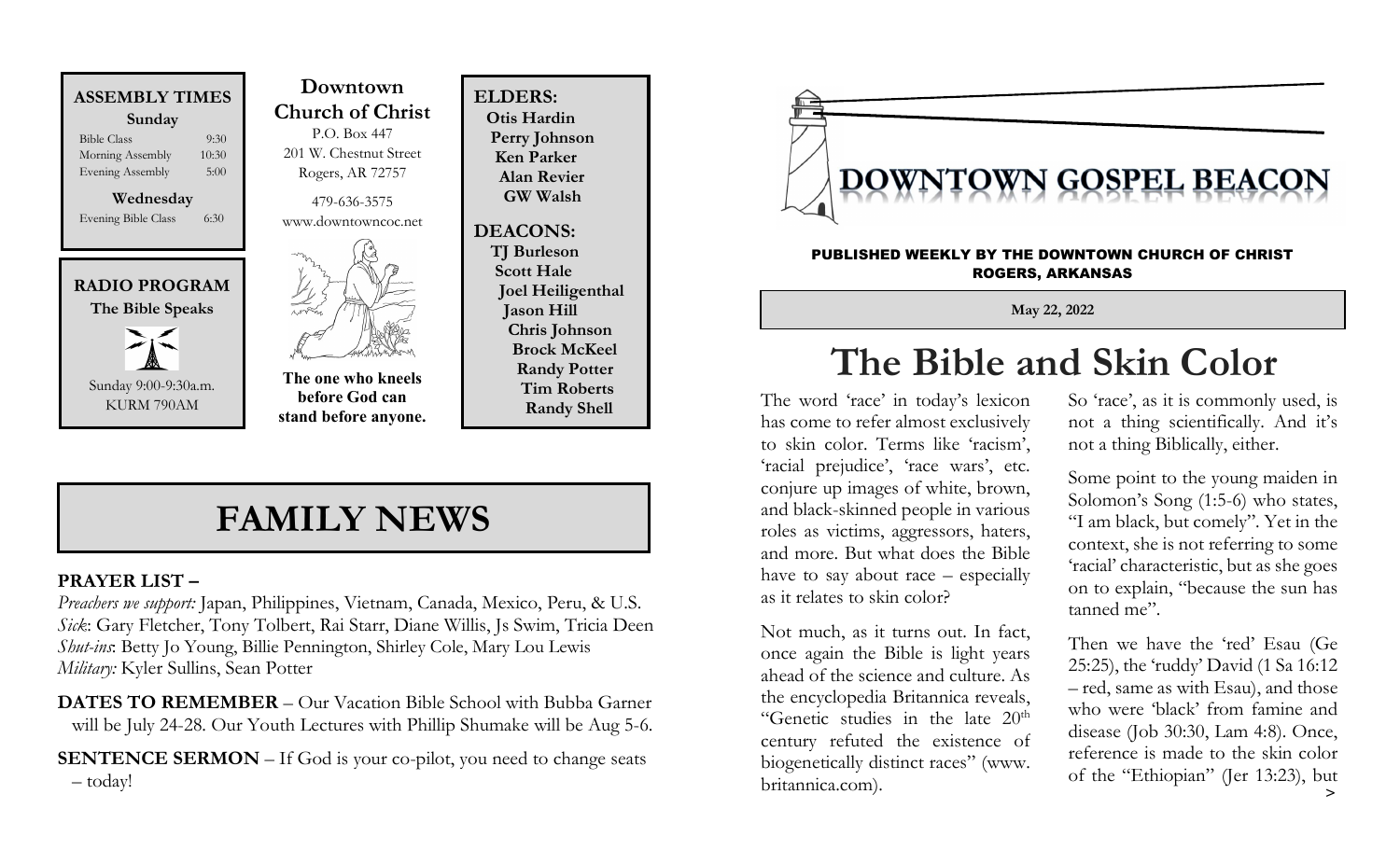

Evening Bible Class 6:30



KURM 790AM

 Downtown Church of Christ P.O. Box 447 201 W. Chestnut Street Rogers, AR 72757

> 479-636-3575 www.downtowncoc.net



The one who kneels before God can stand before anyone. ELDERS: Otis Hardin Perry Johnson Ken Parker Alan Revier GW Walsh

DEACONS: TJ Burleson Scott Hale Joel Heiligenthal Jason Hill Chris Johnson Brock McKeel Randy Potter Tim Roberts Randy Shell

#### FAMILY NEWS

#### PRAYER LIST –

Preachers we support: Japan, Philippines, Vietnam, Canada, Mexico, Peru, & U.S. Sick: Gary Fletcher, Tony Tolbert, Rai Starr, Diane Willis, Js Swim, Tricia Deen Shut-ins: Betty Jo Young, Billie Pennington, Shirley Cole, Mary Lou Lewis Military: Kyler Sullins, Sean Potter

DATES TO REMEMBER – Our Vacation Bible School with Bubba Garner will be July 24-28. Our Youth Lectures with Phillip Shumake will be Aug 5-6.

SENTENCE SERMON – If God is your co-pilot, you need to change seats – today!



#### PUBLISHED WEEKLY BY THE DOWNTOWN CHURCH OF CHRIST ROGERS, ARKANSAS

May 22, 2022

## The Bible and Skin Color

The word 'race' in today's lexicon has come to refer almost exclusively to skin color. Terms like 'racism', 'racial prejudice', 'race wars', etc. conjure up images of white, brown, and black-skinned people in various roles as victims, aggressors, haters, and more. But what does the Bible have to say about race – especially as it relates to skin color?

Not much, as it turns out. In fact, once again the Bible is light years ahead of the science and culture. As the encyclopedia Britannica reveals, "Genetic studies in the late 20<sup>th</sup> century refuted the existence of biogenetically distinct races" (www. britannica.com).

So 'race', as it is commonly used, is not a thing scientifically. And it's not a thing Biblically, either.

Some point to the young maiden in Solomon's Song (1:5-6) who states, "I am black, but comely". Yet in the context, she is not referring to some 'racial' characteristic, but as she goes on to explain, "because the sun has tanned me".

Then we have the 'red' Esau (Ge 25:25), the 'ruddy' David (1 Sa 16:12 – red, same as with Esau), and those who were 'black' from famine and disease (Job 30:30, Lam 4:8). Once, reference is made to the skin color of the "Ethiopian" (Jer 13:23), but  $\rightarrow$